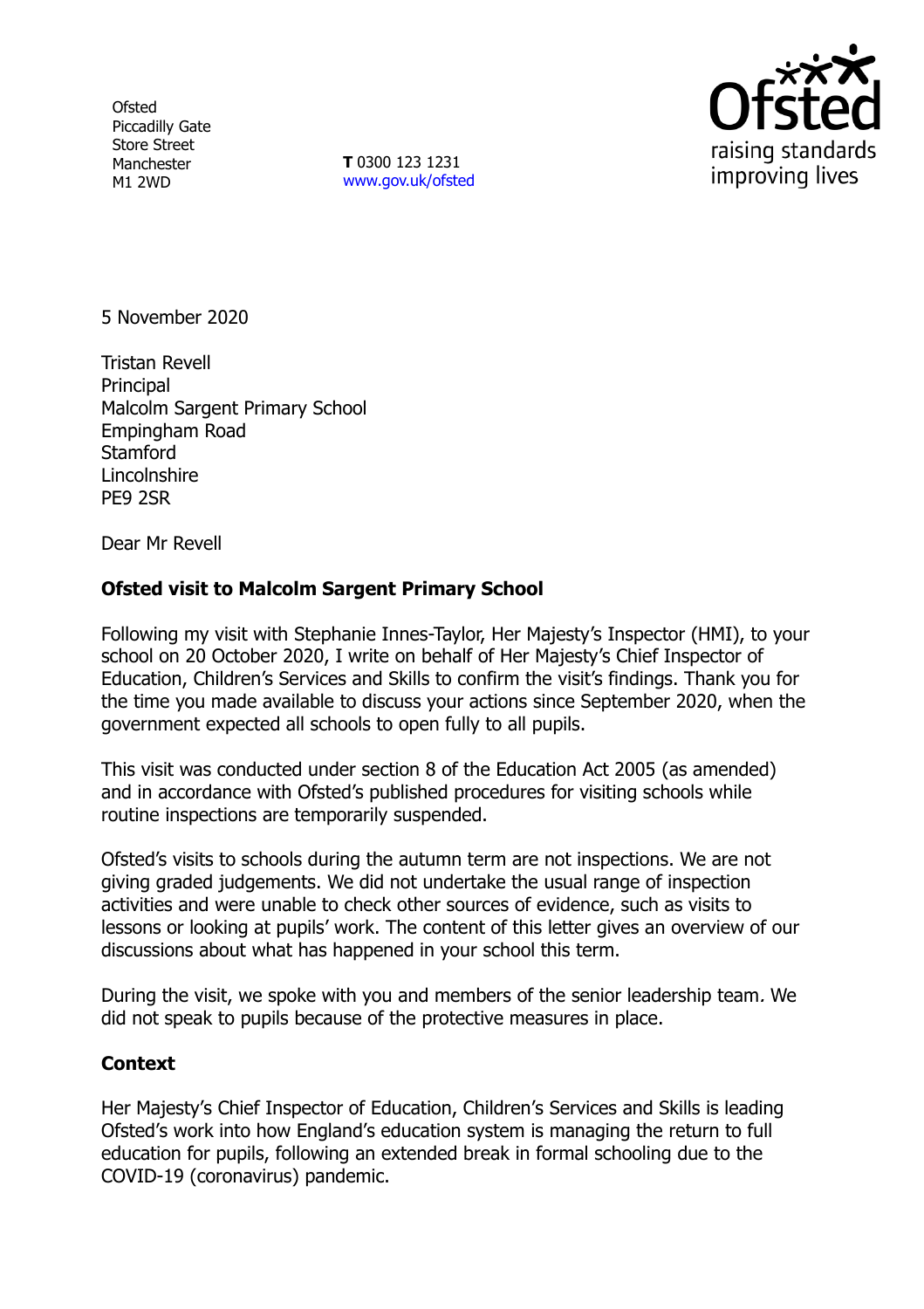**Ofsted** Piccadilly Gate Store Street Manchester M1 2WD

**T** 0300 123 1231 [www.gov.uk/ofsted](http://www.gov.uk/ofsted)



5 November 2020

Tristan Revell **Principal** Malcolm Sargent Primary School Empingham Road **Stamford Lincolnshire** PE9 2SR

Dear Mr Revell

## **Ofsted visit to Malcolm Sargent Primary School**

Following my visit with Stephanie Innes-Taylor, Her Majesty's Inspector (HMI), to your school on 20 October 2020, I write on behalf of Her Majesty's Chief Inspector of Education, Children's Services and Skills to confirm the visit's findings. Thank you for the time you made available to discuss your actions since September 2020, when the government expected all schools to open fully to all pupils.

This visit was conducted under section 8 of the Education Act 2005 (as amended) and in accordance with Ofsted's published procedures for visiting schools while routine inspections are temporarily suspended.

Ofsted's visits to schools during the autumn term are not inspections. We are not giving graded judgements. We did not undertake the usual range of inspection activities and were unable to check other sources of evidence, such as visits to lessons or looking at pupils' work. The content of this letter gives an overview of our discussions about what has happened in your school this term.

During the visit, we spoke with you and members of the senior leadership team. We did not speak to pupils because of the protective measures in place.

## **Context**

Her Majesty's Chief Inspector of Education, Children's Services and Skills is leading Ofsted's work into how England's education system is managing the return to full education for pupils, following an extended break in formal schooling due to the COVID-19 (coronavirus) pandemic.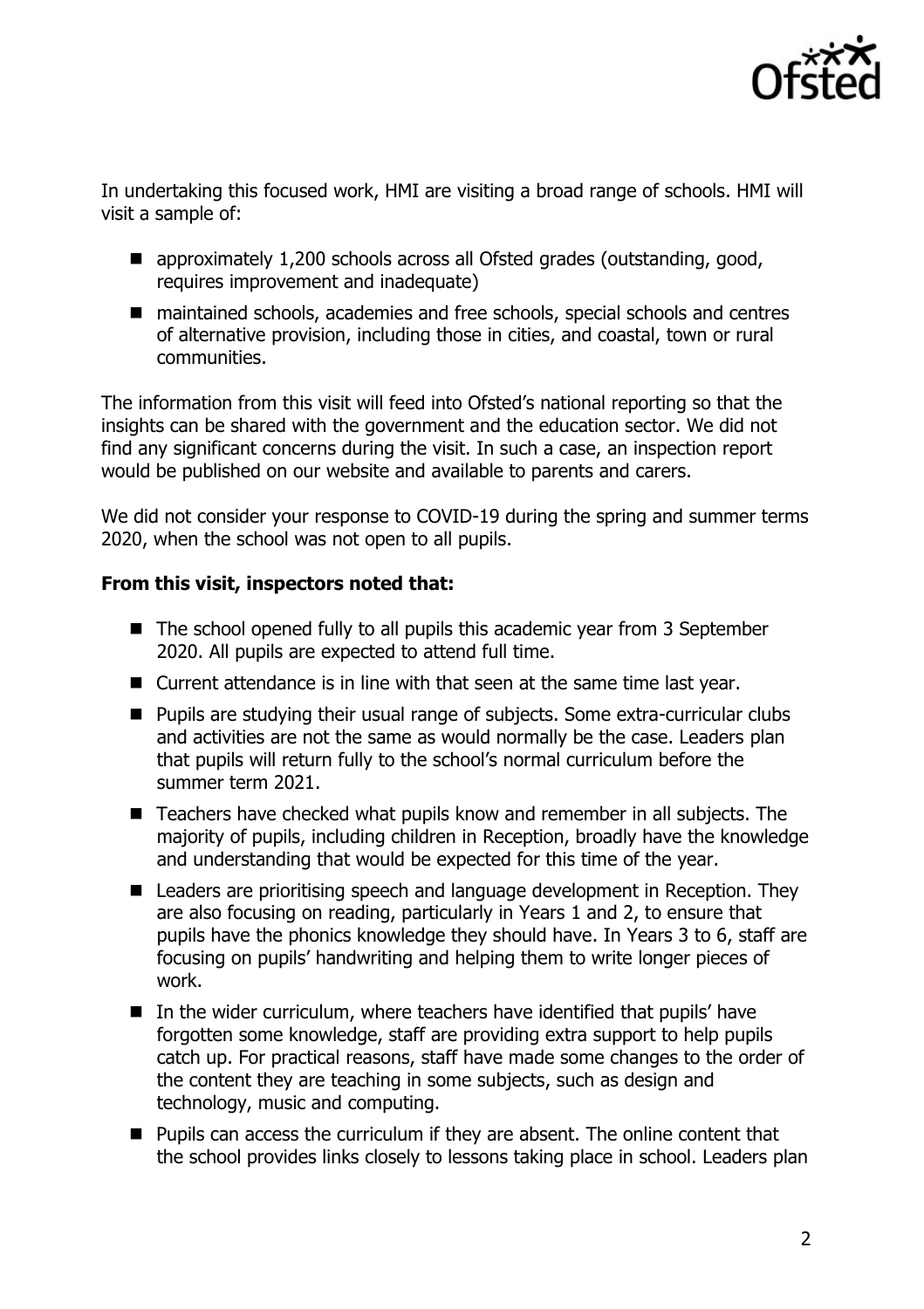

In undertaking this focused work, HMI are visiting a broad range of schools. HMI will visit a sample of:

- approximately 1,200 schools across all Ofsted grades (outstanding, good, requires improvement and inadequate)
- maintained schools, academies and free schools, special schools and centres of alternative provision, including those in cities, and coastal, town or rural communities.

The information from this visit will feed into Ofsted's national reporting so that the insights can be shared with the government and the education sector. We did not find any significant concerns during the visit. In such a case, an inspection report would be published on our website and available to parents and carers.

We did not consider your response to COVID-19 during the spring and summer terms 2020, when the school was not open to all pupils.

## **From this visit, inspectors noted that:**

- The school opened fully to all pupils this academic year from 3 September 2020. All pupils are expected to attend full time.
- Current attendance is in line with that seen at the same time last year.
- Pupils are studying their usual range of subjects. Some extra-curricular clubs and activities are not the same as would normally be the case. Leaders plan that pupils will return fully to the school's normal curriculum before the summer term 2021.
- Teachers have checked what pupils know and remember in all subjects. The majority of pupils, including children in Reception, broadly have the knowledge and understanding that would be expected for this time of the year.
- Leaders are prioritising speech and language development in Reception. They are also focusing on reading, particularly in Years 1 and 2, to ensure that pupils have the phonics knowledge they should have. In Years 3 to 6, staff are focusing on pupils' handwriting and helping them to write longer pieces of work.
- In the wider curriculum, where teachers have identified that pupils' have forgotten some knowledge, staff are providing extra support to help pupils catch up. For practical reasons, staff have made some changes to the order of the content they are teaching in some subjects, such as design and technology, music and computing.
- **Pupils can access the curriculum if they are absent. The online content that** the school provides links closely to lessons taking place in school. Leaders plan